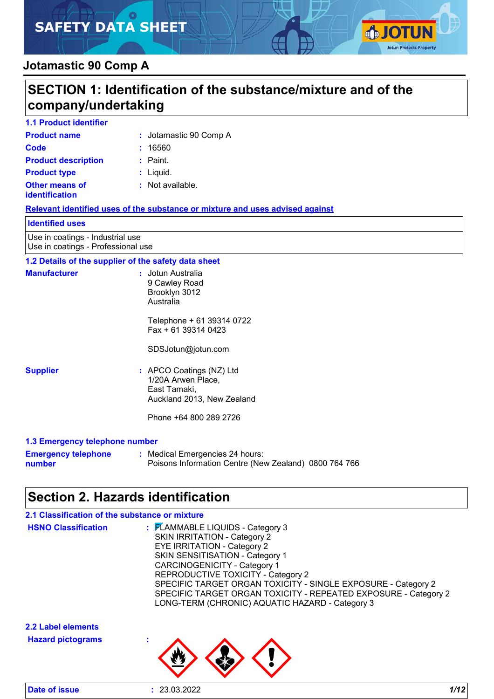# **SAFETY DATA SHEET**



### **Jotamastic 90 Comp A**

### **SECTION 1: Identification of the substance/mixture and of the company/undertaking 1.1 Product identifier Product name :** Jotamastic 90 Comp A **Other means of identification** : Not available. **Product type**  $\qquad$ **: Liquid. Product description :** Paint. **1.2 Details of the supplier of the safety data sheet Supplier :** APCO Coatings (NZ) Ltd 1/20A Arwen Place, East Tamaki, **Manufacturer :** Jotun Australia 9 Cawley Road Brooklyn 3012 Australia Telephone + 61 39314 0722 Fax + 61 39314 0423 SDSJotun@jotun.com **Code :** 16560 **Relevant identified uses of the substance or mixture and uses advised against** Use in coatings - Industrial use Use in coatings - Professional use **Identified uses**

Auckland 2013, New Zealand Phone +64 800 289 2726

#### **1.3 Emergency telephone number**

| <b>Emergency telephone</b> | : Medical Emergencies 24 hours:                       |  |
|----------------------------|-------------------------------------------------------|--|
| number                     | Poisons Information Centre (New Zealand) 0800 764 766 |  |

### **Section 2. Hazards identification**

| 2.1 Classification of the substance or mixture |                                                                                                                                                                                                                                                                                                                                                                                                                             |
|------------------------------------------------|-----------------------------------------------------------------------------------------------------------------------------------------------------------------------------------------------------------------------------------------------------------------------------------------------------------------------------------------------------------------------------------------------------------------------------|
| <b>HSNO Classification</b>                     | : FLAMMABLE LIQUIDS - Category 3<br><b>SKIN IRRITATION - Category 2</b><br><b>EYE IRRITATION - Category 2</b><br><b>SKIN SENSITISATION - Category 1</b><br><b>CARCINOGENICITY - Category 1</b><br>REPRODUCTIVE TOXICITY - Category 2<br>SPECIFIC TARGET ORGAN TOXICITY - SINGLE EXPOSURE - Category 2<br>SPECIFIC TARGET ORGAN TOXICITY - REPEATED EXPOSURE - Category 2<br>LONG-TERM (CHRONIC) AQUATIC HAZARD - Category 3 |
| 2.2 Label elements                             |                                                                                                                                                                                                                                                                                                                                                                                                                             |
| <b>Hazard pictograms</b>                       |                                                                                                                                                                                                                                                                                                                                                                                                                             |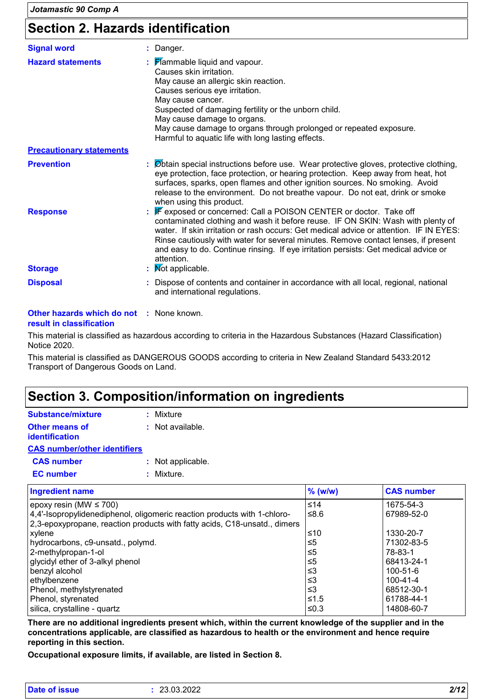# **Section 2. Hazards identification**

| <b>Signal word</b>                | : Danger.                                                                                                                                                                                                                                                                                                                                                                                                                                                       |
|-----------------------------------|-----------------------------------------------------------------------------------------------------------------------------------------------------------------------------------------------------------------------------------------------------------------------------------------------------------------------------------------------------------------------------------------------------------------------------------------------------------------|
| <b>Hazard statements</b>          | $\frac{1}{2}$ Mammable liquid and vapour.<br>Causes skin irritation.<br>May cause an allergic skin reaction.<br>Causes serious eye irritation.<br>May cause cancer.<br>Suspected of damaging fertility or the unborn child.<br>May cause damage to organs.<br>May cause damage to organs through prolonged or repeated exposure.<br>Harmful to aquatic life with long lasting effects.                                                                          |
| <b>Precautionary statements</b>   |                                                                                                                                                                                                                                                                                                                                                                                                                                                                 |
| <b>Prevention</b>                 | : Øbtain special instructions before use. Wear protective gloves, protective clothing,<br>eye protection, face protection, or hearing protection. Keep away from heat, hot<br>surfaces, sparks, open flames and other ignition sources. No smoking. Avoid<br>release to the environment. Do not breathe vapour. Do not eat, drink or smoke<br>when using this product.                                                                                          |
| <b>Response</b><br><b>Storage</b> | : F exposed or concerned: Call a POISON CENTER or doctor. Take off<br>contaminated clothing and wash it before reuse. IF ON SKIN: Wash with plenty of<br>water. If skin irritation or rash occurs: Get medical advice or attention. IF IN EYES:<br>Rinse cautiously with water for several minutes. Remove contact lenses, if present<br>and easy to do. Continue rinsing. If eye irritation persists: Get medical advice or<br>attention.<br>: Mot applicable. |
| <b>Disposal</b>                   | : Dispose of contents and container in accordance with all local, regional, national                                                                                                                                                                                                                                                                                                                                                                            |

#### **Other hazards which do not :** None known. **result in classification**

This material is classified as hazardous according to criteria in the Hazardous Substances (Hazard Classification) Notice 2020.

This material is classified as DANGEROUS GOODS according to criteria in New Zealand Standard 5433:2012 Transport of Dangerous Goods on Land.

### **Section 3. Composition/information on ingredients**

| <b>Substance/mixture</b>            | : Mixture          |
|-------------------------------------|--------------------|
| <b>Other means of</b>               | $:$ Not available. |
| <b>identification</b>               |                    |
| <b>CAS number/other identifiers</b> |                    |
| <b>CAS number</b>                   | : Not applicable.  |
| <b>EC</b> number                    | : Mixture.         |

| <b>Ingredient name</b>                                                    | $%$ (w/w) | <b>CAS number</b> |
|---------------------------------------------------------------------------|-----------|-------------------|
| epoxy resin (MW $\leq$ 700)                                               | $≤14$     | 1675-54-3         |
| 4,4'-Isopropylidenediphenol, oligomeric reaction products with 1-chloro-  | ≤8.6      | 67989-52-0        |
| 2,3-epoxypropane, reaction products with fatty acids, C18-unsatd., dimers |           |                   |
| xylene                                                                    | ≤10       | 1330-20-7         |
| hydrocarbons, c9-unsatd., polymd.                                         | ≤5        | 71302-83-5        |
| 2-methylpropan-1-ol                                                       | ≤5        | 78-83-1           |
| glycidyl ether of 3-alkyl phenol                                          | ≤5        | 68413-24-1        |
| benzyl alcohol                                                            | ≤3        | 100-51-6          |
| ethylbenzene                                                              | ≤3        | $100 - 41 - 4$    |
| Phenol, methylstyrenated                                                  | ≤3        | 68512-30-1        |
| Phenol, styrenated                                                        | ≤1.5      | 61788-44-1        |
| silica, crystalline - quartz                                              | ≤0.3      | 14808-60-7        |

**There are no additional ingredients present which, within the current knowledge of the supplier and in the concentrations applicable, are classified as hazardous to health or the environment and hence require reporting in this section.**

**Occupational exposure limits, if available, are listed in Section 8.**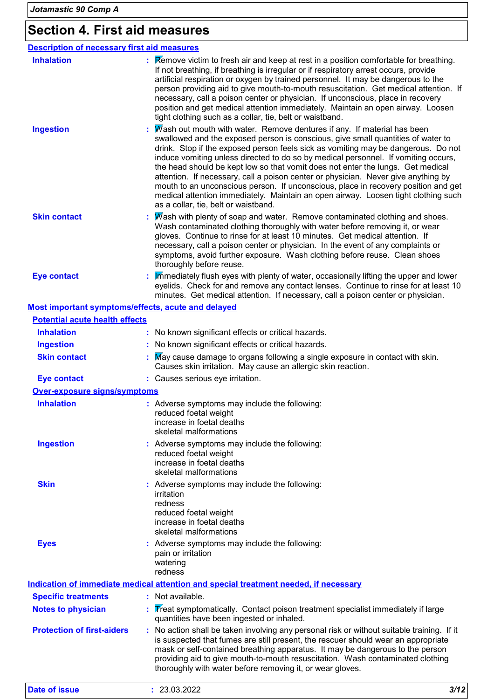# **Section 4. First aid measures**

| <b>Description of necessary first aid measures</b> |                                                                                                                                                                                                                                                                                                                                                                                                                                                                                                                                                                                                                                                                                                                                     |
|----------------------------------------------------|-------------------------------------------------------------------------------------------------------------------------------------------------------------------------------------------------------------------------------------------------------------------------------------------------------------------------------------------------------------------------------------------------------------------------------------------------------------------------------------------------------------------------------------------------------------------------------------------------------------------------------------------------------------------------------------------------------------------------------------|
| <b>Inhalation</b>                                  | : Remove victim to fresh air and keep at rest in a position comfortable for breathing.<br>If not breathing, if breathing is irregular or if respiratory arrest occurs, provide<br>artificial respiration or oxygen by trained personnel. It may be dangerous to the<br>person providing aid to give mouth-to-mouth resuscitation. Get medical attention. If<br>necessary, call a poison center or physician. If unconscious, place in recovery<br>position and get medical attention immediately. Maintain an open airway. Loosen<br>tight clothing such as a collar, tie, belt or waistband.                                                                                                                                       |
| <b>Ingestion</b>                                   | Wash out mouth with water. Remove dentures if any. If material has been<br>swallowed and the exposed person is conscious, give small quantities of water to<br>drink. Stop if the exposed person feels sick as vomiting may be dangerous. Do not<br>induce vomiting unless directed to do so by medical personnel. If vomiting occurs,<br>the head should be kept low so that vomit does not enter the lungs. Get medical<br>attention. If necessary, call a poison center or physician. Never give anything by<br>mouth to an unconscious person. If unconscious, place in recovery position and get<br>medical attention immediately. Maintain an open airway. Loosen tight clothing such<br>as a collar, tie, belt or waistband. |
| <b>Skin contact</b>                                | $\overline{M}$ ash with plenty of soap and water. Remove contaminated clothing and shoes.<br>Wash contaminated clothing thoroughly with water before removing it, or wear<br>gloves. Continue to rinse for at least 10 minutes. Get medical attention. If<br>necessary, call a poison center or physician. In the event of any complaints or<br>symptoms, avoid further exposure. Wash clothing before reuse. Clean shoes<br>thoroughly before reuse.                                                                                                                                                                                                                                                                               |
| <b>Eye contact</b>                                 | Immediately flush eyes with plenty of water, occasionally lifting the upper and lower<br>eyelids. Check for and remove any contact lenses. Continue to rinse for at least 10<br>minutes. Get medical attention. If necessary, call a poison center or physician.                                                                                                                                                                                                                                                                                                                                                                                                                                                                    |
| Most important symptoms/effects, acute and delayed |                                                                                                                                                                                                                                                                                                                                                                                                                                                                                                                                                                                                                                                                                                                                     |
| <b>Potential acute health effects</b>              |                                                                                                                                                                                                                                                                                                                                                                                                                                                                                                                                                                                                                                                                                                                                     |
| <b>Inhalation</b>                                  | : No known significant effects or critical hazards.                                                                                                                                                                                                                                                                                                                                                                                                                                                                                                                                                                                                                                                                                 |
| <b>Ingestion</b>                                   | : No known significant effects or critical hazards.                                                                                                                                                                                                                                                                                                                                                                                                                                                                                                                                                                                                                                                                                 |
| <b>Skin contact</b>                                | May cause damage to organs following a single exposure in contact with skin.<br>Causes skin irritation. May cause an allergic skin reaction.                                                                                                                                                                                                                                                                                                                                                                                                                                                                                                                                                                                        |
| <b>Eye contact</b>                                 | : Causes serious eye irritation.                                                                                                                                                                                                                                                                                                                                                                                                                                                                                                                                                                                                                                                                                                    |
| <b>Over-exposure signs/symptoms</b>                |                                                                                                                                                                                                                                                                                                                                                                                                                                                                                                                                                                                                                                                                                                                                     |
| <b>Inhalation</b>                                  | : Adverse symptoms may include the following:<br>reduced foetal weight<br>increase in foetal deaths<br>skeletal malformations                                                                                                                                                                                                                                                                                                                                                                                                                                                                                                                                                                                                       |
| <b>Ingestion</b>                                   | : Adverse symptoms may include the following:<br>reduced foetal weight<br>increase in foetal deaths<br>skeletal malformations                                                                                                                                                                                                                                                                                                                                                                                                                                                                                                                                                                                                       |
| <b>Skin</b>                                        | : Adverse symptoms may include the following:<br>irritation<br>redness<br>reduced foetal weight<br>increase in foetal deaths<br>skeletal malformations                                                                                                                                                                                                                                                                                                                                                                                                                                                                                                                                                                              |
| <b>Eyes</b>                                        | : Adverse symptoms may include the following:<br>pain or irritation<br>watering<br>redness                                                                                                                                                                                                                                                                                                                                                                                                                                                                                                                                                                                                                                          |
|                                                    | Indication of immediate medical attention and special treatment needed, if necessary                                                                                                                                                                                                                                                                                                                                                                                                                                                                                                                                                                                                                                                |
| <b>Specific treatments</b>                         | : Not available.                                                                                                                                                                                                                                                                                                                                                                                                                                                                                                                                                                                                                                                                                                                    |
| <b>Notes to physician</b>                          | Treat symptomatically. Contact poison treatment specialist immediately if large<br>quantities have been ingested or inhaled.                                                                                                                                                                                                                                                                                                                                                                                                                                                                                                                                                                                                        |
| <b>Protection of first-aiders</b>                  | : No action shall be taken involving any personal risk or without suitable training. If it<br>is suspected that fumes are still present, the rescuer should wear an appropriate<br>mask or self-contained breathing apparatus. It may be dangerous to the person<br>providing aid to give mouth-to-mouth resuscitation. Wash contaminated clothing<br>thoroughly with water before removing it, or wear gloves.                                                                                                                                                                                                                                                                                                                     |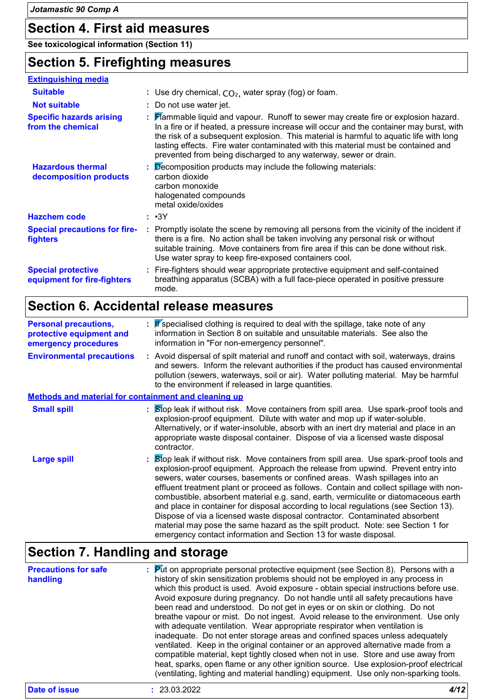### **Section 4. First aid measures**

**See toxicological information (Section 11)**

### **Section 5. Firefighting measures**

| <b>Extinguishing media</b>                               |                                                                                                                                                                                                                                                                                                                                                                                                                                    |
|----------------------------------------------------------|------------------------------------------------------------------------------------------------------------------------------------------------------------------------------------------------------------------------------------------------------------------------------------------------------------------------------------------------------------------------------------------------------------------------------------|
| <b>Suitable</b>                                          | : Use dry chemical, $CO2$ , water spray (fog) or foam.                                                                                                                                                                                                                                                                                                                                                                             |
| <b>Not suitable</b>                                      | : Do not use water jet.                                                                                                                                                                                                                                                                                                                                                                                                            |
| <b>Specific hazards arising</b><br>from the chemical     | : Flammable liquid and vapour. Runoff to sewer may create fire or explosion hazard.<br>In a fire or if heated, a pressure increase will occur and the container may burst, with<br>the risk of a subsequent explosion. This material is harmful to aquatic life with long<br>lasting effects. Fire water contaminated with this material must be contained and<br>prevented from being discharged to any waterway, sewer or drain. |
| <b>Hazardous thermal</b><br>decomposition products       | $\therefore$ Decomposition products may include the following materials:<br>carbon dioxide<br>carbon monoxide<br>halogenated compounds<br>metal oxide/oxides                                                                                                                                                                                                                                                                       |
| <b>Hazchem code</b>                                      | : •3Y                                                                                                                                                                                                                                                                                                                                                                                                                              |
| <b>Special precautions for fire-</b><br>fighters         | : Promptly isolate the scene by removing all persons from the vicinity of the incident if<br>there is a fire. No action shall be taken involving any personal risk or without<br>suitable training. Move containers from fire area if this can be done without risk.<br>Use water spray to keep fire-exposed containers cool.                                                                                                      |
| <b>Special protective</b><br>equipment for fire-fighters | : Fire-fighters should wear appropriate protective equipment and self-contained<br>breathing apparatus (SCBA) with a full face-piece operated in positive pressure<br>mode.                                                                                                                                                                                                                                                        |

# **Section 6. Accidental release measures**

| <b>Personal precautions,</b><br>protective equipment and<br>emergency procedures | : <i>If</i> specialised clothing is required to deal with the spillage, take note of any<br>information in Section 8 on suitable and unsuitable materials. See also the<br>information in "For non-emergency personnel".                                                                                                                                                                                                                                                                                                                                                                                                                                                                                                                                                |
|----------------------------------------------------------------------------------|-------------------------------------------------------------------------------------------------------------------------------------------------------------------------------------------------------------------------------------------------------------------------------------------------------------------------------------------------------------------------------------------------------------------------------------------------------------------------------------------------------------------------------------------------------------------------------------------------------------------------------------------------------------------------------------------------------------------------------------------------------------------------|
| <b>Environmental precautions</b>                                                 | : Avoid dispersal of spilt material and runoff and contact with soil, waterways, drains<br>and sewers. Inform the relevant authorities if the product has caused environmental<br>pollution (sewers, waterways, soil or air). Water polluting material. May be harmful<br>to the environment if released in large quantities.                                                                                                                                                                                                                                                                                                                                                                                                                                           |
| <b>Methods and material for containment and cleaning up</b>                      |                                                                                                                                                                                                                                                                                                                                                                                                                                                                                                                                                                                                                                                                                                                                                                         |
| <b>Small spill</b>                                                               | : Stop leak if without risk. Move containers from spill area. Use spark-proof tools and<br>explosion-proof equipment. Dilute with water and mop up if water-soluble.<br>Alternatively, or if water-insoluble, absorb with an inert dry material and place in an<br>appropriate waste disposal container. Dispose of via a licensed waste disposal<br>contractor.                                                                                                                                                                                                                                                                                                                                                                                                        |
| <b>Large spill</b>                                                               | : Stop leak if without risk. Move containers from spill area. Use spark-proof tools and<br>explosion-proof equipment. Approach the release from upwind. Prevent entry into<br>sewers, water courses, basements or confined areas. Wash spillages into an<br>effluent treatment plant or proceed as follows. Contain and collect spillage with non-<br>combustible, absorbent material e.g. sand, earth, vermiculite or diatomaceous earth<br>and place in container for disposal according to local regulations (see Section 13).<br>Dispose of via a licensed waste disposal contractor. Contaminated absorbent<br>material may pose the same hazard as the spilt product. Note: see Section 1 for<br>emergency contact information and Section 13 for waste disposal. |

# **Section 7. Handling and storage**

|                                         | breathe vapour or mist. Do not ingest. Avoid release to the environment. Use only<br>with adequate ventilation. Wear appropriate respirator when ventilation is<br>inadequate. Do not enter storage areas and confined spaces unless adequately<br>ventilated. Keep in the original container or an approved alternative made from a<br>compatible material, kept tightly closed when not in use. Store and use away from<br>heat, sparks, open flame or any other ignition source. Use explosion-proof electrical<br>(ventilating, lighting and material handling) equipment. Use only non-sparking tools. |
|-----------------------------------------|-------------------------------------------------------------------------------------------------------------------------------------------------------------------------------------------------------------------------------------------------------------------------------------------------------------------------------------------------------------------------------------------------------------------------------------------------------------------------------------------------------------------------------------------------------------------------------------------------------------|
| <b>Precautions for safe</b><br>handling | <b>Put on appropriate personal protective equipment (see Section 8). Persons with a</b><br>history of skin sensitization problems should not be employed in any process in<br>which this product is used. Avoid exposure - obtain special instructions before use.<br>Avoid exposure during pregnancy. Do not handle until all safety precautions have<br>been read and understood. Do not get in eyes or on skin or clothing. Do not                                                                                                                                                                       |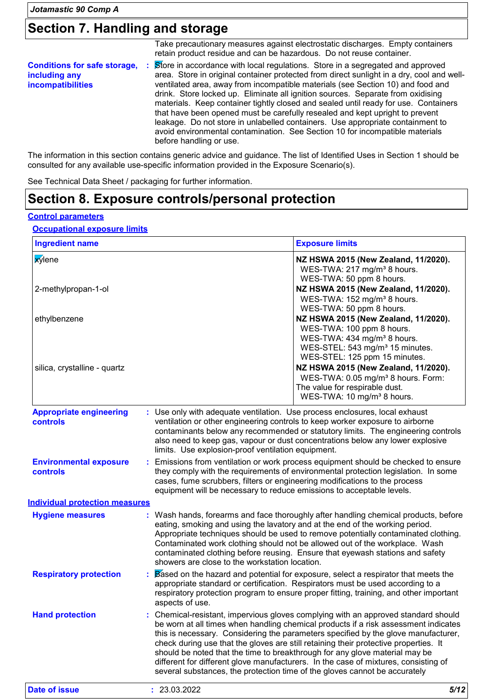# **Section 7. Handling and storage**

|                                                                                    | Take precautionary measures against electrostatic discharges. Empty containers<br>retain product residue and can be hazardous. Do not reuse container.                                                                                                                                                                                                                                                                                                                                                                                                                                                                                                                                                                |
|------------------------------------------------------------------------------------|-----------------------------------------------------------------------------------------------------------------------------------------------------------------------------------------------------------------------------------------------------------------------------------------------------------------------------------------------------------------------------------------------------------------------------------------------------------------------------------------------------------------------------------------------------------------------------------------------------------------------------------------------------------------------------------------------------------------------|
| <b>Conditions for safe storage, :</b><br>including any<br><b>incompatibilities</b> | Store in accordance with local regulations. Store in a segregated and approved<br>area. Store in original container protected from direct sunlight in a dry, cool and well-<br>ventilated area, away from incompatible materials (see Section 10) and food and<br>drink. Store locked up. Eliminate all ignition sources. Separate from oxidising<br>materials. Keep container tightly closed and sealed until ready for use. Containers<br>that have been opened must be carefully resealed and kept upright to prevent<br>leakage. Do not store in unlabelled containers. Use appropriate containment to<br>avoid environmental contamination. See Section 10 for incompatible materials<br>before handling or use. |

The information in this section contains generic advice and guidance. The list of Identified Uses in Section 1 should be consulted for any available use-specific information provided in the Exposure Scenario(s).

See Technical Data Sheet / packaging for further information.

### **Section 8. Exposure controls/personal protection**

#### **Control parameters**

**Occupational exposure limits**

| <b>Ingredient name</b>                     |                                                                                                                                                     | <b>Exposure limits</b>                                                                                                                                                                                                                                                                                                                                                                                                                                                                                                                                                                                      |
|--------------------------------------------|-----------------------------------------------------------------------------------------------------------------------------------------------------|-------------------------------------------------------------------------------------------------------------------------------------------------------------------------------------------------------------------------------------------------------------------------------------------------------------------------------------------------------------------------------------------------------------------------------------------------------------------------------------------------------------------------------------------------------------------------------------------------------------|
| <b>xylene</b><br>2-methylpropan-1-ol       |                                                                                                                                                     | NZ HSWA 2015 (New Zealand, 11/2020).<br>WES-TWA: 217 mg/m <sup>3</sup> 8 hours.<br>WES-TWA: 50 ppm 8 hours.<br>NZ HSWA 2015 (New Zealand, 11/2020).<br>WES-TWA: 152 mg/m <sup>3</sup> 8 hours.                                                                                                                                                                                                                                                                                                                                                                                                              |
| ethylbenzene                               |                                                                                                                                                     | WES-TWA: 50 ppm 8 hours.<br>NZ HSWA 2015 (New Zealand, 11/2020).<br>WES-TWA: 100 ppm 8 hours.<br>WES-TWA: 434 mg/m <sup>3</sup> 8 hours.<br>WES-STEL: 543 mg/m <sup>3</sup> 15 minutes.                                                                                                                                                                                                                                                                                                                                                                                                                     |
| silica, crystalline - quartz               |                                                                                                                                                     | WES-STEL: 125 ppm 15 minutes.<br>NZ HSWA 2015 (New Zealand, 11/2020).<br>WES-TWA: 0.05 mg/m <sup>3</sup> 8 hours. Form:<br>The value for respirable dust.<br>WES-TWA: 10 mg/m <sup>3</sup> 8 hours.                                                                                                                                                                                                                                                                                                                                                                                                         |
| <b>Appropriate engineering</b><br>controls | limits. Use explosion-proof ventilation equipment.                                                                                                  | Use only with adequate ventilation. Use process enclosures, local exhaust<br>ventilation or other engineering controls to keep worker exposure to airborne<br>contaminants below any recommended or statutory limits. The engineering controls<br>also need to keep gas, vapour or dust concentrations below any lower explosive                                                                                                                                                                                                                                                                            |
| <b>Environmental exposure</b><br>controls  | cases, fume scrubbers, filters or engineering modifications to the process<br>equipment will be necessary to reduce emissions to acceptable levels. | Emissions from ventilation or work process equipment should be checked to ensure<br>they comply with the requirements of environmental protection legislation. In some                                                                                                                                                                                                                                                                                                                                                                                                                                      |
| <b>Individual protection measures</b>      |                                                                                                                                                     |                                                                                                                                                                                                                                                                                                                                                                                                                                                                                                                                                                                                             |
| <b>Hygiene measures</b>                    | showers are close to the workstation location.                                                                                                      | : Wash hands, forearms and face thoroughly after handling chemical products, before<br>eating, smoking and using the lavatory and at the end of the working period.<br>Appropriate techniques should be used to remove potentially contaminated clothing.<br>Contaminated work clothing should not be allowed out of the workplace. Wash<br>contaminated clothing before reusing. Ensure that eyewash stations and safety                                                                                                                                                                                   |
| <b>Respiratory protection</b>              | aspects of use.                                                                                                                                     | Based on the hazard and potential for exposure, select a respirator that meets the<br>appropriate standard or certification. Respirators must be used according to a<br>respiratory protection program to ensure proper fitting, training, and other important                                                                                                                                                                                                                                                                                                                                              |
| <b>Hand protection</b>                     |                                                                                                                                                     | : Chemical-resistant, impervious gloves complying with an approved standard should<br>be worn at all times when handling chemical products if a risk assessment indicates<br>this is necessary. Considering the parameters specified by the glove manufacturer,<br>check during use that the gloves are still retaining their protective properties. It<br>should be noted that the time to breakthrough for any glove material may be<br>different for different glove manufacturers. In the case of mixtures, consisting of<br>several substances, the protection time of the gloves cannot be accurately |
| <b>Date of issue</b>                       | : 23.03.2022                                                                                                                                        | 5/12                                                                                                                                                                                                                                                                                                                                                                                                                                                                                                                                                                                                        |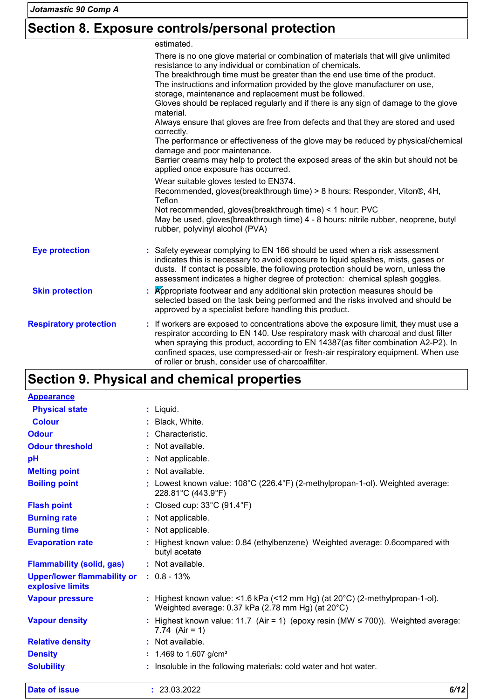# **Section 8. Exposure controls/personal protection**

estimated.

| There is no one glove material or combination of materials that will give unlimited<br>resistance to any individual or combination of chemicals.<br>The breakthrough time must be greater than the end use time of the product.<br>The instructions and information provided by the glove manufacturer on use,<br>storage, maintenance and replacement must be followed.<br>Gloves should be replaced regularly and if there is any sign of damage to the glove<br>Always ensure that gloves are free from defects and that they are stored and used<br>The performance or effectiveness of the glove may be reduced by physical/chemical<br>Barrier creams may help to protect the exposed areas of the skin but should not be<br>applied once exposure has occurred.<br>Wear suitable gloves tested to EN374.<br>Recommended, gloves(breakthrough time) > 8 hours: Responder, Viton®, 4H, |
|---------------------------------------------------------------------------------------------------------------------------------------------------------------------------------------------------------------------------------------------------------------------------------------------------------------------------------------------------------------------------------------------------------------------------------------------------------------------------------------------------------------------------------------------------------------------------------------------------------------------------------------------------------------------------------------------------------------------------------------------------------------------------------------------------------------------------------------------------------------------------------------------|
|                                                                                                                                                                                                                                                                                                                                                                                                                                                                                                                                                                                                                                                                                                                                                                                                                                                                                             |
| Not recommended, gloves(breakthrough time) < 1 hour: PVC<br>May be used, gloves(breakthrough time) 4 - 8 hours: nitrile rubber, neoprene, butyl                                                                                                                                                                                                                                                                                                                                                                                                                                                                                                                                                                                                                                                                                                                                             |
| : Safety eyewear complying to EN 166 should be used when a risk assessment<br>indicates this is necessary to avoid exposure to liquid splashes, mists, gases or<br>dusts. If contact is possible, the following protection should be worn, unless the<br>assessment indicates a higher degree of protection: chemical splash goggles.                                                                                                                                                                                                                                                                                                                                                                                                                                                                                                                                                       |
| Appropriate footwear and any additional skin protection measures should be<br>selected based on the task being performed and the risks involved and should be<br>approved by a specialist before handling this product.                                                                                                                                                                                                                                                                                                                                                                                                                                                                                                                                                                                                                                                                     |
| : If workers are exposed to concentrations above the exposure limit, they must use a<br>respirator according to EN 140. Use respiratory mask with charcoal and dust filter<br>when spraying this product, according to EN 14387(as filter combination A2-P2). In<br>confined spaces, use compressed-air or fresh-air respiratory equipment. When use<br>of roller or brush, consider use of charcoalfilter.                                                                                                                                                                                                                                                                                                                                                                                                                                                                                 |
|                                                                                                                                                                                                                                                                                                                                                                                                                                                                                                                                                                                                                                                                                                                                                                                                                                                                                             |

# **Section 9. Physical and chemical properties**

| <b>Solubility</b>                                      | Insoluble in the following materials: cold water and hot water.                                                                             |
|--------------------------------------------------------|---------------------------------------------------------------------------------------------------------------------------------------------|
| <b>Density</b>                                         | : 1.469 to 1.607 g/cm <sup>3</sup>                                                                                                          |
| <b>Relative density</b>                                | : Not available.                                                                                                                            |
| <b>Vapour density</b>                                  | : Highest known value: 11.7 (Air = 1) (epoxy resin (MW $\leq$ 700)). Weighted average:<br>7.74 (Air = 1)                                    |
| <b>Vapour pressure</b>                                 | : Highest known value: <1.6 kPa (<12 mm Hg) (at $20^{\circ}$ C) (2-methylpropan-1-ol).<br>Weighted average: 0.37 kPa (2.78 mm Hg) (at 20°C) |
| <b>Upper/lower flammability or</b><br>explosive limits | $: 0.8 - 13\%$                                                                                                                              |
| <b>Flammability (solid, gas)</b>                       | : Not available.                                                                                                                            |
| <b>Evaporation rate</b>                                | : Highest known value: 0.84 (ethylbenzene) Weighted average: 0.6compared with<br>butyl acetate                                              |
| <b>Burning time</b>                                    | : Not applicable.                                                                                                                           |
| <b>Burning rate</b>                                    | : Not applicable.                                                                                                                           |
| <b>Flash point</b>                                     | : Closed cup: 33°C (91.4°F)                                                                                                                 |
| <b>Boiling point</b>                                   | : Lowest known value: $108^{\circ}$ C (226.4°F) (2-methylpropan-1-ol). Weighted average:<br>228.81°C (443.9°F)                              |
| <b>Melting point</b>                                   | : Not available.                                                                                                                            |
| pH                                                     | : Not applicable.                                                                                                                           |
| <b>Odour threshold</b>                                 | : Not available.                                                                                                                            |
| <b>Odour</b>                                           | : Characteristic.                                                                                                                           |
| <b>Colour</b>                                          | : Black, White.                                                                                                                             |
| <b>Physical state</b>                                  | $:$ Liquid.                                                                                                                                 |
| <b>Appearance</b>                                      |                                                                                                                                             |

| Date of issue | פפחפ בח בפ<br>ZJ.UJ.ZUZZ | 6112<br>0/12 |
|---------------|--------------------------|--------------|
|               |                          |              |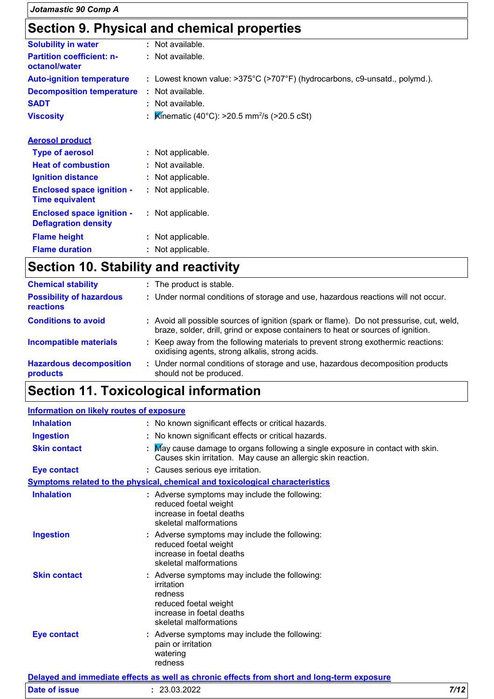### **Section 9. Physical and chemical properties**

|                                                                 | <u>oodiidii uli iliyoldal alla diidiilidal proportioo</u>                  |
|-----------------------------------------------------------------|----------------------------------------------------------------------------|
| <b>Solubility in water</b>                                      | : Not available.                                                           |
| <b>Partition coefficient: n-</b><br>octanol/water               | : Not available.                                                           |
| <b>Auto-ignition temperature</b>                                | : Lowest known value: >375°C (>707°F) (hydrocarbons, c9-unsatd., polymd.). |
| <b>Decomposition temperature</b>                                | : Not available.                                                           |
| <b>SADT</b>                                                     | : Not available.                                                           |
| <b>Viscosity</b>                                                | : <b>K</b> inematic (40°C): >20.5 mm <sup>2</sup> /s (>20.5 cSt)           |
| <b>Aerosol product</b>                                          |                                                                            |
| <b>Type of aerosol</b>                                          | : Not applicable.                                                          |
| <b>Heat of combustion</b>                                       | : Not available.                                                           |
| <b>Ignition distance</b>                                        | : Not applicable.                                                          |
| <b>Enclosed space ignition -</b><br><b>Time equivalent</b>      | : Not applicable.                                                          |
| <b>Enclosed space ignition -</b><br><b>Deflagration density</b> | : Not applicable.                                                          |
| <b>Flame height</b>                                             | : Not applicable.                                                          |
| <b>Flame duration</b>                                           | : Not applicable.                                                          |

# **Section 10. Stability and reactivity**

| <b>Chemical stability</b>                    | : The product is stable.                                                                                                                                                     |  |
|----------------------------------------------|------------------------------------------------------------------------------------------------------------------------------------------------------------------------------|--|
| <b>Possibility of hazardous</b><br>reactions | : Under normal conditions of storage and use, hazardous reactions will not occur.                                                                                            |  |
| <b>Conditions to avoid</b>                   | : Avoid all possible sources of ignition (spark or flame). Do not pressurise, cut, weld,<br>braze, solder, drill, grind or expose containers to heat or sources of ignition. |  |
| <b>Incompatible materials</b>                | : Keep away from the following materials to prevent strong exothermic reactions:<br>oxidising agents, strong alkalis, strong acids.                                          |  |
| <b>Hazardous decomposition</b><br>products   | : Under normal conditions of storage and use, hazardous decomposition products<br>should not be produced.                                                                    |  |

# **Section 11. Toxicological information**

| <b>Information on likely routes of exposure</b> |                                                                                                                                                        |  |  |
|-------------------------------------------------|--------------------------------------------------------------------------------------------------------------------------------------------------------|--|--|
| <b>Inhalation</b>                               | : No known significant effects or critical hazards.                                                                                                    |  |  |
| <b>Ingestion</b>                                | : No known significant effects or critical hazards.                                                                                                    |  |  |
| <b>Skin contact</b>                             | : May cause damage to organs following a single exposure in contact with skin.<br>Causes skin irritation. May cause an allergic skin reaction.         |  |  |
| <b>Eye contact</b>                              | : Causes serious eye irritation.                                                                                                                       |  |  |
|                                                 | <b>Symptoms related to the physical, chemical and toxicological characteristics</b>                                                                    |  |  |
| <b>Inhalation</b>                               | : Adverse symptoms may include the following:<br>reduced foetal weight<br>increase in foetal deaths<br>skeletal malformations                          |  |  |
| <b>Ingestion</b>                                | : Adverse symptoms may include the following:<br>reduced foetal weight<br>increase in foetal deaths<br>skeletal malformations                          |  |  |
| <b>Skin contact</b>                             | : Adverse symptoms may include the following:<br>irritation<br>redness<br>reduced foetal weight<br>increase in foetal deaths<br>skeletal malformations |  |  |
| <b>Eye contact</b>                              | : Adverse symptoms may include the following:<br>pain or irritation<br>watering<br>redness                                                             |  |  |
|                                                 | Delayed and immediate effects as well as chronic effects from short and long-term exposure                                                             |  |  |

| <u>Delaved and immediate enects as well as chibility enects from short and forly-term exposure</u> |            |      |  |  |
|----------------------------------------------------------------------------------------------------|------------|------|--|--|
| Date of issue                                                                                      | 23.03.2022 | 7/12 |  |  |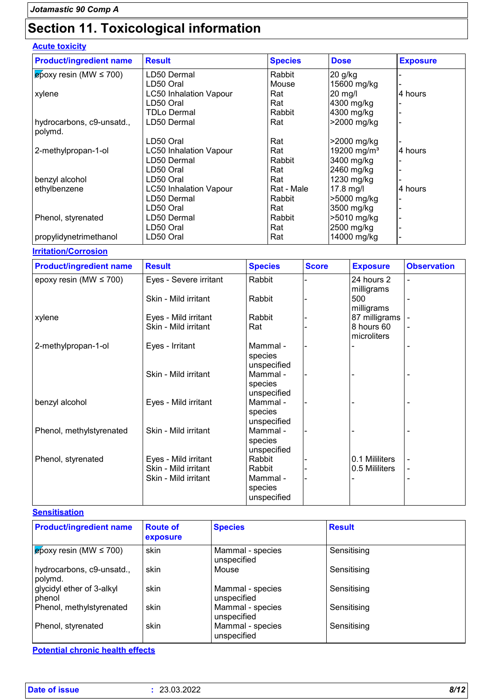# **Section 11. Toxicological information**

### **Acute toxicity**

| <b>Product/ingredient name</b>        | <b>Result</b>                 | <b>Species</b> | <b>Dose</b>             | <b>Exposure</b> |
|---------------------------------------|-------------------------------|----------------|-------------------------|-----------------|
| $\epsilon$ poxy resin (MW $\leq$ 700) | LD50 Dermal                   | Rabbit         | 20 g/kg                 |                 |
|                                       | LD50 Oral                     | Mouse          | 15600 mg/kg             |                 |
| xylene                                | <b>LC50 Inhalation Vapour</b> | Rat            | 20 mg/l                 | 4 hours         |
|                                       | LD50 Oral                     | Rat            | 4300 mg/kg              |                 |
|                                       | TDLo Dermal                   | Rabbit         | 4300 mg/kg              |                 |
| hydrocarbons, c9-unsatd.,             | LD50 Dermal                   | Rat            | >2000 mg/kg             |                 |
| polymd.                               |                               |                |                         |                 |
|                                       | LD50 Oral                     | Rat            | >2000 mg/kg             |                 |
| 2-methylpropan-1-ol                   | <b>LC50 Inhalation Vapour</b> | Rat            | 19200 mg/m <sup>3</sup> | 4 hours         |
|                                       | LD50 Dermal                   | Rabbit         | 3400 mg/kg              |                 |
|                                       | LD50 Oral                     | Rat            | 2460 mg/kg              |                 |
| benzyl alcohol                        | LD50 Oral                     | Rat            | 1230 mg/kg              |                 |
| ethylbenzene                          | <b>LC50 Inhalation Vapour</b> | Rat - Male     | 17.8 mg/l               | 4 hours         |
|                                       | LD50 Dermal                   | Rabbit         | >5000 mg/kg             |                 |
|                                       | LD50 Oral                     | Rat            | 3500 mg/kg              |                 |
| Phenol, styrenated                    | LD50 Dermal                   | Rabbit         | >5010 mg/kg             |                 |
|                                       | LD50 Oral                     | Rat            | 2500 mg/kg              |                 |
| propylidynetrimethanol                | LD50 Oral                     | Rat            | 14000 mg/kg             |                 |

#### **Irritation/Corrosion**

| <b>Product/ingredient name</b> | <b>Result</b>                                                        | <b>Species</b>                          | <b>Score</b> | <b>Exposure</b>                  | <b>Observation</b>                                       |
|--------------------------------|----------------------------------------------------------------------|-----------------------------------------|--------------|----------------------------------|----------------------------------------------------------|
| epoxy resin (MW $\leq$ 700)    | Eyes - Severe irritant                                               | Rabbit                                  |              | 24 hours 2<br>milligrams         | $\blacksquare$                                           |
|                                | Skin - Mild irritant                                                 | Rabbit                                  |              | 500<br>milligrams                |                                                          |
| xylene                         | Eyes - Mild irritant                                                 | Rabbit                                  |              | 87 milligrams                    |                                                          |
|                                | Skin - Mild irritant                                                 | Rat                                     |              | 8 hours 60<br>microliters        |                                                          |
| 2-methylpropan-1-ol            | Eyes - Irritant                                                      | Mammal -<br>species<br>unspecified      |              |                                  |                                                          |
|                                | Skin - Mild irritant                                                 | Mammal -<br>species<br>unspecified      |              |                                  |                                                          |
| benzyl alcohol                 | Eyes - Mild irritant                                                 | Mammal -<br>species<br>unspecified      |              |                                  |                                                          |
| Phenol, methylstyrenated       | Skin - Mild irritant                                                 | Mammal -<br>species<br>unspecified      |              |                                  |                                                          |
| Phenol, styrenated             | Eyes - Mild irritant<br>Skin - Mild irritant<br>Skin - Mild irritant | Rabbit<br>Rabbit<br>Mammal -<br>species |              | 0.1 Mililiters<br>0.5 Mililiters | $\qquad \qquad \blacksquare$<br>$\overline{\phantom{a}}$ |

#### **Sensitisation**

| <b>Product/ingredient name</b>        | <b>Route of</b><br>exposure | <b>Species</b>                  | <b>Result</b> |
|---------------------------------------|-----------------------------|---------------------------------|---------------|
| $\epsilon$ poxy resin (MW $\leq$ 700) | skin                        | Mammal - species<br>unspecified | Sensitising   |
| hydrocarbons, c9-unsatd.,<br>polymd.  | skin                        | Mouse                           | Sensitising   |
| glycidyl ether of 3-alkyl<br>phenol   | skin                        | Mammal - species<br>unspecified | Sensitising   |
| Phenol, methylstyrenated              | skin                        | Mammal - species<br>unspecified | Sensitising   |
| Phenol, styrenated                    | skin                        | Mammal - species<br>unspecified | Sensitising   |

**Potential chronic health effects**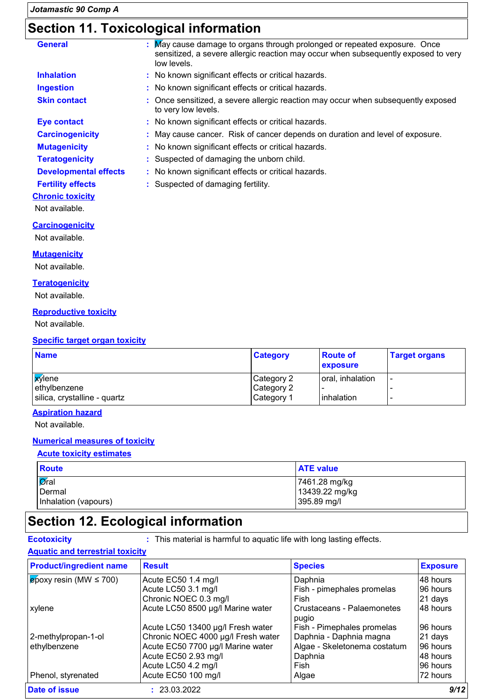# **Section 11. Toxicological information**

| <b>General</b>               | : May cause damage to organs through prolonged or repeated exposure. Once<br>sensitized, a severe allergic reaction may occur when subsequently exposed to very<br>low levels. |  |  |  |
|------------------------------|--------------------------------------------------------------------------------------------------------------------------------------------------------------------------------|--|--|--|
| <b>Inhalation</b>            | : No known significant effects or critical hazards.                                                                                                                            |  |  |  |
| <b>Ingestion</b>             | : No known significant effects or critical hazards.                                                                                                                            |  |  |  |
| <b>Skin contact</b>          | : Once sensitized, a severe allergic reaction may occur when subsequently exposed<br>to very low levels.                                                                       |  |  |  |
| <b>Eye contact</b>           | : No known significant effects or critical hazards.                                                                                                                            |  |  |  |
| <b>Carcinogenicity</b>       | : May cause cancer. Risk of cancer depends on duration and level of exposure.                                                                                                  |  |  |  |
| <b>Mutagenicity</b>          | : No known significant effects or critical hazards.                                                                                                                            |  |  |  |
| <b>Teratogenicity</b>        | : Suspected of damaging the unborn child.                                                                                                                                      |  |  |  |
| <b>Developmental effects</b> | : No known significant effects or critical hazards.                                                                                                                            |  |  |  |
| <b>Fertility effects</b>     | : Suspected of damaging fertility.                                                                                                                                             |  |  |  |
| <b>Chronic toxicity</b>      |                                                                                                                                                                                |  |  |  |
| Not available.               |                                                                                                                                                                                |  |  |  |

**Carcinogenicity** Not available.

**Mutagenicity**

Not available.

#### **Teratogenicity**

Not available.

#### **Reproductive toxicity**

Not available.

#### **Specific target organ toxicity**

| <b>Name</b>                  | <b>Category</b> | <b>Route of</b><br>exposure | <b>Target organs</b> |
|------------------------------|-----------------|-----------------------------|----------------------|
| <b>X</b> ylene               | Category 2      | oral, inhalation            |                      |
| ethylbenzene                 | Category 2      |                             |                      |
| silica, crystalline - quartz | Category 1      | <b>l</b> inhalation         |                      |

#### **Aspiration hazard**

Not available.

#### **Numerical measures of toxicity**

#### **Acute toxicity estimates**

| <b>Route</b>         | <b>ATE value</b> |
|----------------------|------------------|
| Øral                 | 7461.28 mg/kg    |
| Dermal               | 13439.22 mg/kg   |
| Inhalation (vapours) | 395.89 mg/l      |

### **Section 12. Ecological information**

**Ecotoxicity :** This material is harmful to aquatic life with long lasting effects.

#### **Aquatic and terrestrial toxicity**

| <b>Product/ingredient name</b>        | <b>Result</b>                      | <b>Species</b>                      | <b>Exposure</b> |
|---------------------------------------|------------------------------------|-------------------------------------|-----------------|
| $\epsilon$ poxy resin (MW $\leq$ 700) | Acute EC50 1.4 mg/l                | Daphnia                             | 48 hours        |
|                                       | Acute LC50 3.1 mg/l                | Fish - pimephales promelas          | 96 hours        |
|                                       | Chronic NOEC 0.3 mg/l              | Fish                                | 21 days         |
| xylene                                | Acute LC50 8500 µg/l Marine water  | Crustaceans - Palaemonetes<br>pugio | 48 hours        |
|                                       | Acute LC50 13400 µg/l Fresh water  | Fish - Pimephales promelas          | 96 hours        |
| 2-methylpropan-1-ol                   | Chronic NOEC 4000 µg/l Fresh water | Daphnia - Daphnia magna             | 21 days         |
| ethylbenzene                          | Acute EC50 7700 µg/l Marine water  | Algae - Skeletonema costatum        | 96 hours        |
|                                       | Acute EC50 2.93 mg/l               | Daphnia                             | 48 hours        |
|                                       | Acute LC50 4.2 mg/l                | Fish                                | 96 hours        |
| Phenol, styrenated                    | Acute EC50 100 mg/l                | Algae                               | 72 hours        |
| Date of issue                         | : 23.03.2022                       |                                     | 9/12            |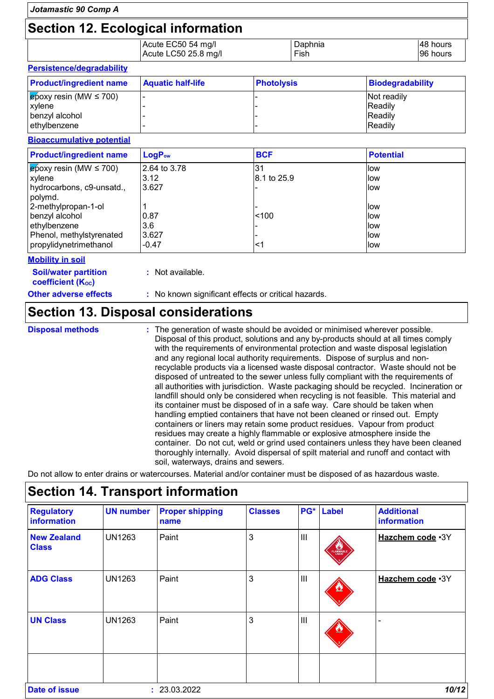| Jotamastic 90 Comp A                                                                                                                                                                                   |                                                                                                                                                                                                                                                                                                                                                                                                                                                                                                                |                                |                         |                                                      |                      |  |
|--------------------------------------------------------------------------------------------------------------------------------------------------------------------------------------------------------|----------------------------------------------------------------------------------------------------------------------------------------------------------------------------------------------------------------------------------------------------------------------------------------------------------------------------------------------------------------------------------------------------------------------------------------------------------------------------------------------------------------|--------------------------------|-------------------------|------------------------------------------------------|----------------------|--|
| <b>Section 12. Ecological information</b>                                                                                                                                                              |                                                                                                                                                                                                                                                                                                                                                                                                                                                                                                                |                                |                         |                                                      |                      |  |
|                                                                                                                                                                                                        | Acute EC50 54 mg/l<br>Acute LC50 25.8 mg/l                                                                                                                                                                                                                                                                                                                                                                                                                                                                     |                                | Daphnia<br>Fish         |                                                      | 48 hours<br>96 hours |  |
| Persistence/degradability                                                                                                                                                                              |                                                                                                                                                                                                                                                                                                                                                                                                                                                                                                                |                                |                         |                                                      |                      |  |
| <b>Product/ingredient name</b>                                                                                                                                                                         | <b>Aquatic half-life</b><br><b>Photolysis</b>                                                                                                                                                                                                                                                                                                                                                                                                                                                                  |                                | <b>Biodegradability</b> |                                                      |                      |  |
| $epoxy$ resin (MW $\leq$ 700)<br>xylene<br>benzyl alcohol<br>ethylbenzene                                                                                                                              |                                                                                                                                                                                                                                                                                                                                                                                                                                                                                                                |                                |                         | Not readily<br>Readily<br>Readily<br>Readily         |                      |  |
| <b>Bioaccumulative potential</b>                                                                                                                                                                       |                                                                                                                                                                                                                                                                                                                                                                                                                                                                                                                |                                |                         |                                                      |                      |  |
| <b>Product/ingredient name</b>                                                                                                                                                                         | LogP <sub>ow</sub>                                                                                                                                                                                                                                                                                                                                                                                                                                                                                             | <b>BCF</b>                     |                         | <b>Potential</b>                                     |                      |  |
| $\epsilon$ poxy resin (MW $\leq$ 700)<br>xylene<br>hydrocarbons, c9-unsatd.,<br>polymd.<br>2-methylpropan-1-ol<br>benzyl alcohol<br>ethylbenzene<br>Phenol, methylstyrenated<br>propylidynetrimethanol | 2.64 to 3.78<br>3.12<br>3.627<br>1<br>0.87<br>3.6<br>3.627<br>$-0.47$                                                                                                                                                                                                                                                                                                                                                                                                                                          | 31<br>8.1 to 25.9<br>100<br><1 |                         | low<br>low<br>low<br>low<br>low<br>low<br>low<br>low |                      |  |
| <b>Mobility in soil</b>                                                                                                                                                                                |                                                                                                                                                                                                                                                                                                                                                                                                                                                                                                                |                                |                         |                                                      |                      |  |
| <b>Soil/water partition</b><br><b>coefficient (Koc)</b>                                                                                                                                                | : Not available.                                                                                                                                                                                                                                                                                                                                                                                                                                                                                               |                                |                         |                                                      |                      |  |
| <b>Other adverse effects</b>                                                                                                                                                                           | : No known significant effects or critical hazards.                                                                                                                                                                                                                                                                                                                                                                                                                                                            |                                |                         |                                                      |                      |  |
| <b>Section 13. Disposal considerations</b>                                                                                                                                                             |                                                                                                                                                                                                                                                                                                                                                                                                                                                                                                                |                                |                         |                                                      |                      |  |
| <b>Disposal methods</b>                                                                                                                                                                                | : The generation of waste should be avoided or minimised wherever possible.<br>Disposal of this product, solutions and any by-products should at all times comply<br>with the requirements of environmental protection and waste disposal legislation<br>and any regional local authority requirements. Dispose of surplus and non-<br>recyclable products via a licensed waste disposal contractor. Waste should not be<br>disposed of untreated to the sewer unless fully compliant with the requirements of |                                |                         |                                                      |                      |  |

all authorities with jurisdiction. Waste packaging should be recycled. Incineration or landfill should only be considered when recycling is not feasible. This material and its container must be disposed of in a safe way. Care should be taken when handling emptied containers that have not been cleaned or rinsed out. Empty containers or liners may retain some product residues. Vapour from product residues may create a highly flammable or explosive atmosphere inside the container. Do not cut, weld or grind used containers unless they have been cleaned thoroughly internally. Avoid dispersal of spilt material and runoff and contact with soil, waterways, drains and sewers.

Do not allow to enter drains or watercourses. Material and/or container must be disposed of as hazardous waste.

| <b>Regulatory</b><br>information   | <b>UN number</b> | <b>Proper shipping</b><br>name | <b>Classes</b> | PG*            | <b>Label</b> | <b>Additional</b><br>information |
|------------------------------------|------------------|--------------------------------|----------------|----------------|--------------|----------------------------------|
| <b>New Zealand</b><br><b>Class</b> | <b>UN1263</b>    | Paint                          | 3              | $\mathbf{III}$ | FLAMMABLE    | Hazchem code .3Y                 |
| <b>ADG Class</b>                   | UN1263           | Paint                          | 3              | $\mathbf{III}$ |              | Hazchem code .3Y                 |
| <b>UN Class</b>                    | <b>UN1263</b>    | Paint                          | 3              | $\mathbf{III}$ |              |                                  |
| Date of issue                      |                  | : 23.03.2022                   |                |                |              | 10/12                            |

# **Section 14. Transport information**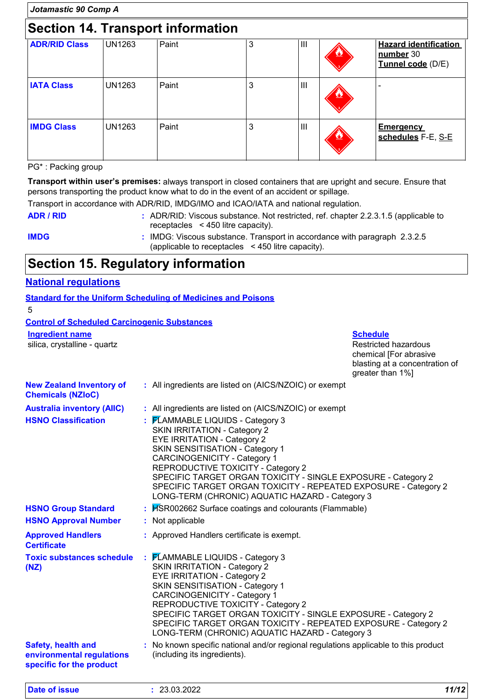| Jotamastic 90 Comp A                     |               |       |   |                |   |                                                                |
|------------------------------------------|---------------|-------|---|----------------|---|----------------------------------------------------------------|
| <b>Section 14. Transport information</b> |               |       |   |                |   |                                                                |
| <b>ADR/RID Class</b>                     | <b>UN1263</b> | Paint | 3 | $\mathbf{III}$ |   | <b>Hazard identification</b><br>number 30<br>Tunnel code (D/E) |
| <b>IATA Class</b>                        | <b>UN1263</b> | Paint | 3 | $\mathbf{III}$ |   |                                                                |
| <b>IMDG Class</b>                        | <b>UN1263</b> | Paint | 3 | $\mathbf{III}$ | ۴ | <b>Emergency</b><br>schedules F-E, S-E                         |

#### PG\* : Packing group

**Transport within user's premises:** always transport in closed containers that are upright and secure. Ensure that persons transporting the product know what to do in the event of an accident or spillage.

Transport in accordance with ADR/RID, IMDG/IMO and ICAO/IATA and national regulation.

**ADR / RID :** ADR/RID: Viscous substance. Not restricted, ref. chapter 2.2.3.1.5 (applicable to receptacles < 450 litre capacity).

**IMDG :** IMDG: Viscous substance. Transport in accordance with paragraph 2.3.2.5 (applicable to receptacles < 450 litre capacity).

### **Section 15. Regulatory information**

#### **National regulations**

**Standard for the Uniform Scheduling of Medicines and Poisons**

5

#### **Control of Scheduled Carcinogenic Substances**

**Ingredient name Schedule** 

silica, crystalline - quartz **Restricted hazardous** Restricted hazardous

chemical [For abrasive blasting at a concentration of greater than 1%]

| <b>New Zealand Inventory of</b><br><b>Chemicals (NZIoC)</b>                        | : All ingredients are listed on (AICS/NZOIC) or exempt                                                                                                                                                                                                                                                                                                                                                                      |
|------------------------------------------------------------------------------------|-----------------------------------------------------------------------------------------------------------------------------------------------------------------------------------------------------------------------------------------------------------------------------------------------------------------------------------------------------------------------------------------------------------------------------|
| <b>Australia inventory (AIIC)</b>                                                  | : All ingredients are listed on (AICS/NZOIC) or exempt                                                                                                                                                                                                                                                                                                                                                                      |
| <b>HSNO Classification</b>                                                         | : FLAMMABLE LIQUIDS - Category 3<br><b>SKIN IRRITATION - Category 2</b><br><b>EYE IRRITATION - Category 2</b><br>SKIN SENSITISATION - Category 1<br><b>CARCINOGENICITY - Category 1</b><br>REPRODUCTIVE TOXICITY - Category 2<br>SPECIFIC TARGET ORGAN TOXICITY - SINGLE EXPOSURE - Category 2<br>SPECIFIC TARGET ORGAN TOXICITY - REPEATED EXPOSURE - Category 2<br>LONG-TERM (CHRONIC) AQUATIC HAZARD - Category 3        |
| <b>HSNO Group Standard</b>                                                         | : HSR002662 Surface coatings and colourants (Flammable)                                                                                                                                                                                                                                                                                                                                                                     |
| <b>HSNO Approval Number</b>                                                        | : Not applicable                                                                                                                                                                                                                                                                                                                                                                                                            |
| <b>Approved Handlers</b><br><b>Certificate</b>                                     | : Approved Handlers certificate is exempt.                                                                                                                                                                                                                                                                                                                                                                                  |
| <b>Toxic substances schedule</b><br>(NZ)                                           | : FLAMMABLE LIQUIDS - Category 3<br><b>SKIN IRRITATION - Category 2</b><br><b>EYE IRRITATION - Category 2</b><br><b>SKIN SENSITISATION - Category 1</b><br><b>CARCINOGENICITY - Category 1</b><br>REPRODUCTIVE TOXICITY - Category 2<br>SPECIFIC TARGET ORGAN TOXICITY - SINGLE EXPOSURE - Category 2<br>SPECIFIC TARGET ORGAN TOXICITY - REPEATED EXPOSURE - Category 2<br>LONG-TERM (CHRONIC) AQUATIC HAZARD - Category 3 |
| <b>Safety, health and</b><br>environmental regulations<br>specific for the product | : No known specific national and/or regional regulations applicable to this product<br>(including its ingredients).                                                                                                                                                                                                                                                                                                         |